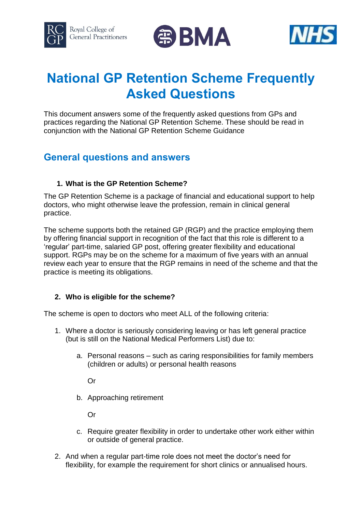





# **National GP Retention Scheme Frequently Asked Questions**

This document answers some of the frequently asked questions from GPs and practices regarding the National GP Retention Scheme. These should be read in conjunction with the National GP Retention Scheme Guidance

# **General questions and answers**

# **1. What is the GP Retention Scheme?**

The GP Retention Scheme is a package of financial and educational support to help doctors, who might otherwise leave the profession, remain in clinical general practice.

The scheme supports both the retained GP (RGP) and the practice employing them by offering financial support in recognition of the fact that this role is different to a 'regular' part-time, salaried GP post, offering greater flexibility and educational support. RGPs may be on the scheme for a maximum of five years with an annual review each year to ensure that the RGP remains in need of the scheme and that the practice is meeting its obligations.

# **2. Who is eligible for the scheme?**

The scheme is open to doctors who meet ALL of the following criteria:

- 1. Where a doctor is seriously considering leaving or has left general practice (but is still on the National Medical Performers List) due to:
	- a. Personal reasons such as caring responsibilities for family members (children or adults) or personal health reasons

Or

b. Approaching retirement

Or

- c. Require greater flexibility in order to undertake other work either within or outside of general practice.
- 2. And when a regular part-time role does not meet the doctor's need for flexibility, for example the requirement for short clinics or annualised hours.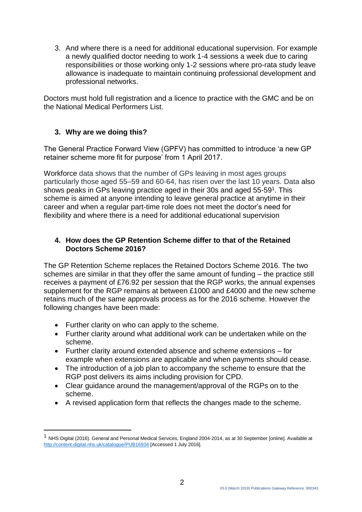3. And where there is a need for additional educational supervision. For example a newly qualified doctor needing to work 1-4 sessions a week due to caring responsibilities or those working only 1-2 sessions where pro-rata study leave allowance is inadequate to maintain continuing professional development and professional networks.

Doctors must hold full registration and a licence to practice with the GMC and be on the National Medical Performers List.

# **3. Why are we doing this?**

The General Practice Forward View (GPFV) has committed to introduce 'a new GP retainer scheme more fit for purpose' from 1 April 2017.

Workforce data shows that the number of GPs leaving in most ages groups particularly those aged 55–59 and 60-64, has risen over the last 10 years. Data also shows peaks in GPs leaving practice aged in their 30s and aged 55-59<sup>1</sup>. This scheme is aimed at anyone intending to leave general practice at anytime in their career and when a regular part-time role does not meet the doctor's need for flexibility and where there is a need for additional educational supervision

#### **4. How does the GP Retention Scheme differ to that of the Retained Doctors Scheme 2016?**

The GP Retention Scheme replaces the Retained Doctors Scheme 2016. The two schemes are similar in that they offer the same amount of funding – the practice still receives a payment of £76.92 per session that the RGP works, the annual expenses supplement for the RGP remains at between £1000 and £4000 and the new scheme retains much of the same approvals process as for the 2016 scheme. However the following changes have been made:

• Further clarity on who can apply to the scheme.

1

- Further clarity around what additional work can be undertaken while on the scheme.
- Further clarity around extended absence and scheme extensions for example when extensions are applicable and when payments should cease.
- The introduction of a job plan to accompany the scheme to ensure that the RGP post delivers its aims including provision for CPD.
- Clear guidance around the management/approval of the RGPs on to the scheme.
- A revised application form that reflects the changes made to the scheme.

<sup>1</sup> NHS Digital (2016). General and Personal Medical Services, England 2004-2014, as at 30 September [online]. Available at <http://content.digital.nhs.uk/catalogue/PUB16934> [Accessed 1 July 2016].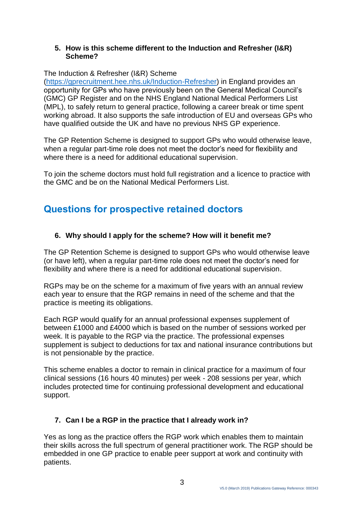#### **5. How is this scheme different to the Induction and Refresher (I&R) Scheme?**

#### The Induction & Refresher (I&R) Scheme

[\(https://gprecruitment.hee.nhs.uk/Induction-Refresher\)](https://gprecruitment.hee.nhs.uk/Induction-Refresher) in England provides an opportunity for GPs who have previously been on the General Medical Council's (GMC) GP Register and on the NHS England National Medical Performers List (MPL), to safely return to general practice, following a career break or time spent working abroad. It also supports the safe introduction of EU and overseas GPs who have qualified outside the UK and have no previous NHS GP experience.

The GP Retention Scheme is designed to support GPs who would otherwise leave, when a regular part-time role does not meet the doctor's need for flexibility and where there is a need for additional educational supervision.

To join the scheme doctors must hold full registration and a licence to practice with the GMC and be on the National Medical Performers List.

# **Questions for prospective retained doctors**

# **6. Why should I apply for the scheme? How will it benefit me?**

The GP Retention Scheme is designed to support GPs who would otherwise leave (or have left), when a regular part-time role does not meet the doctor's need for flexibility and where there is a need for additional educational supervision.

RGPs may be on the scheme for a maximum of five years with an annual review each year to ensure that the RGP remains in need of the scheme and that the practice is meeting its obligations.

Each RGP would qualify for an annual professional expenses supplement of between £1000 and £4000 which is based on the number of sessions worked per week. It is payable to the RGP via the practice. The professional expenses supplement is subject to deductions for tax and national insurance contributions but is not pensionable by the practice.

This scheme enables a doctor to remain in clinical practice for a maximum of four clinical sessions (16 hours 40 minutes) per week - 208 sessions per year, which includes protected time for continuing professional development and educational support.

# **7. Can I be a RGP in the practice that I already work in?**

Yes as long as the practice offers the RGP work which enables them to maintain their skills across the full spectrum of general practitioner work. The RGP should be embedded in one GP practice to enable peer support at work and continuity with patients.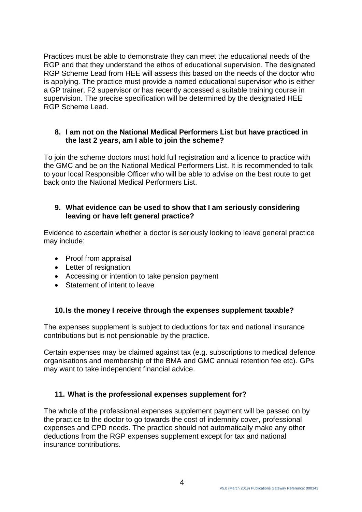Practices must be able to demonstrate they can meet the educational needs of the RGP and that they understand the ethos of educational supervision. The designated RGP Scheme Lead from HEE will assess this based on the needs of the doctor who is applying. The practice must provide a named educational supervisor who is either a GP trainer, F2 supervisor or has recently accessed a suitable training course in supervision. The precise specification will be determined by the designated HEE RGP Scheme Lead.

#### **8. I am not on the National Medical Performers List but have practiced in the last 2 years, am I able to join the scheme?**

To join the scheme doctors must hold full registration and a licence to practice with the GMC and be on the National Medical Performers List. It is recommended to talk to your local Responsible Officer who will be able to advise on the best route to get back onto the National Medical Performers List.

#### **9. What evidence can be used to show that I am seriously considering leaving or have left general practice?**

Evidence to ascertain whether a doctor is seriously looking to leave general practice may include:

- Proof from appraisal
- Letter of resignation
- Accessing or intention to take pension payment
- Statement of intent to leave

#### **10.Is the money I receive through the expenses supplement taxable?**

The expenses supplement is subject to deductions for tax and national insurance contributions but is not pensionable by the practice.

Certain expenses may be claimed against tax (e.g. subscriptions to medical defence organisations and membership of the BMA and GMC annual retention fee etc). GPs may want to take independent financial advice.

#### **11. What is the professional expenses supplement for?**

The whole of the professional expenses supplement payment will be passed on by the practice to the doctor to go towards the cost of indemnity cover, professional expenses and CPD needs. The practice should not automatically make any other deductions from the RGP expenses supplement except for tax and national insurance contributions.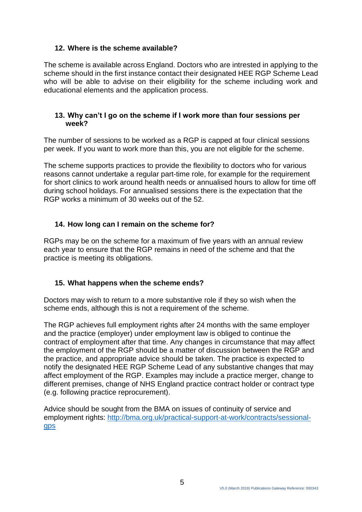# **12. Where is the scheme available?**

The scheme is available across England. Doctors who are intrested in applying to the scheme should in the first instance contact their designated HEE RGP Scheme Lead who will be able to advise on their eligibility for the scheme including work and educational elements and the application process.

#### **13. Why can't I go on the scheme if I work more than four sessions per week?**

The number of sessions to be worked as a RGP is capped at four clinical sessions per week. If you want to work more than this, you are not eligible for the scheme.

The scheme supports practices to provide the flexibility to doctors who for various reasons cannot undertake a regular part-time role, for example for the requirement for short clinics to work around health needs or annualised hours to allow for time off during school holidays. For annualised sessions there is the expectation that the RGP works a minimum of 30 weeks out of the 52.

#### **14. How long can I remain on the scheme for?**

RGPs may be on the scheme for a maximum of five years with an annual review each year to ensure that the RGP remains in need of the scheme and that the practice is meeting its obligations.

#### **15. What happens when the scheme ends?**

Doctors may wish to return to a more substantive role if they so wish when the scheme ends, although this is not a requirement of the scheme.

The RGP achieves full employment rights after 24 months with the same employer and the practice (employer) under employment law is obliged to continue the contract of employment after that time. Any changes in circumstance that may affect the employment of the RGP should be a matter of discussion between the RGP and the practice, and appropriate advice should be taken. The practice is expected to notify the designated HEE RGP Scheme Lead of any substantive changes that may affect employment of the RGP. Examples may include a practice merger, change to different premises, change of NHS England practice contract holder or contract type (e.g. following practice reprocurement).

Advice should be sought from the BMA on issues of continuity of service and employment rights: [http://bma.org.uk/practical-support-at-work/contracts/sessional](http://bma.org.uk/practical-support-at-work/contracts/sessional-gps)[gps](http://bma.org.uk/practical-support-at-work/contracts/sessional-gps)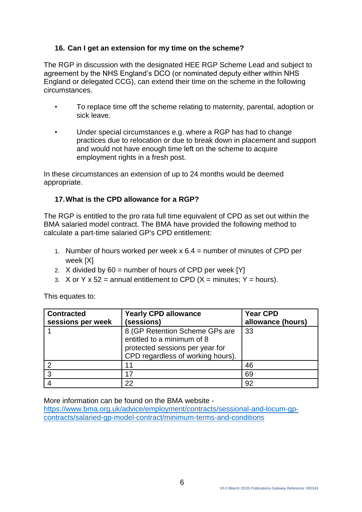# **16. Can I get an extension for my time on the scheme?**

The RGP in discussion with the designated HEE RGP Scheme Lead and subject to agreement by the NHS England's DCO (or nominated deputy either within NHS England or delegated CCG), can extend their time on the scheme in the following circumstances.

- To replace time off the scheme relating to maternity, parental, adoption or sick leave.
- Under special circumstances e.g. where a RGP has had to change practices due to relocation or due to break down in placement and support and would not have enough time left on the scheme to acquire employment rights in a fresh post.

In these circumstances an extension of up to 24 months would be deemed appropriate.

# **17.What is the CPD allowance for a RGP?**

The RGP is entitled to the pro rata full time equivalent of CPD as set out within the BMA salaried model contract. The BMA have provided the following method to calculate a part-time salaried GP's CPD entitlement:

- 1. Number of hours worked per week  $x \cdot 6.4$  = number of minutes of CPD per week [X]
- 2. X divided by 60 = number of hours of CPD per week [Y]
- 3. X or Y x 52 = annual entitlement to CPD ( $X =$  minutes;  $Y =$  hours).

| <b>Contracted</b> | <b>Yearly CPD allowance</b>                                                                                                          | <b>Year CPD</b>   |
|-------------------|--------------------------------------------------------------------------------------------------------------------------------------|-------------------|
| sessions per week | (sessions)                                                                                                                           | allowance (hours) |
|                   | 8 (GP Retention Scheme GPs are<br>entitled to a minimum of 8<br>protected sessions per year for<br>CPD regardless of working hours). | 33                |
|                   | 11                                                                                                                                   | 46                |
| າ                 | 17                                                                                                                                   | 69                |
|                   | 22                                                                                                                                   | 92                |

This equates to:

More information can be found on the BMA website -

[https://www.bma.org.uk/advice/employment/contracts/sessional-and-locum-gp](https://www.bma.org.uk/advice/employment/contracts/sessional-and-locum-gp-contracts/salaried-gp-model-contract/minimum-terms-and-conditions)[contracts/salaried-gp-model-contract/minimum-terms-and-conditions](https://www.bma.org.uk/advice/employment/contracts/sessional-and-locum-gp-contracts/salaried-gp-model-contract/minimum-terms-and-conditions)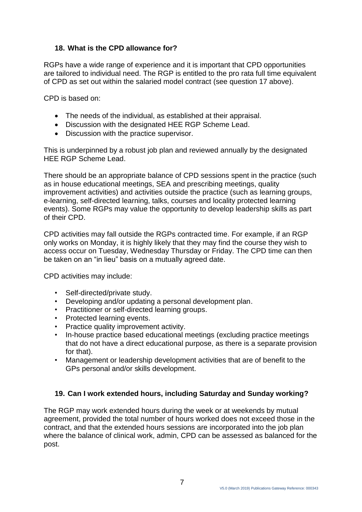# **18. What is the CPD allowance for?**

RGPs have a wide range of experience and it is important that CPD opportunities are tailored to individual need. The RGP is entitled to the pro rata full time equivalent of CPD as set out within the salaried model contract (see question 17 above).

CPD is based on:

- The needs of the individual, as established at their appraisal.
- Discussion with the designated HEE RGP Scheme Lead.
- Discussion with the practice supervisor.

This is underpinned by a robust job plan and reviewed annually by the designated HEE RGP Scheme Lead.

There should be an appropriate balance of CPD sessions spent in the practice (such as in house educational meetings, SEA and prescribing meetings, quality improvement activities) and activities outside the practice (such as learning groups, e-learning, self-directed learning, talks, courses and locality protected learning events). Some RGPs may value the opportunity to develop leadership skills as part of their CPD.

CPD activities may fall outside the RGPs contracted time. For example, if an RGP only works on Monday, it is highly likely that they may find the course they wish to access occur on Tuesday, Wednesday Thursday or Friday. The CPD time can then be taken on an "in lieu" basis on a mutually agreed date.

CPD activities may include:

- Self-directed/private study.
- Developing and/or updating a personal development plan.
- Practitioner or self-directed learning groups.
- Protected learning events.
- Practice quality improvement activity.
- In-house practice based educational meetings (excluding practice meetings that do not have a direct educational purpose, as there is a separate provision for that).
- Management or leadership development activities that are of benefit to the GPs personal and/or skills development.

# **19. Can I work extended hours, including Saturday and Sunday working?**

The RGP may work extended hours during the week or at weekends by mutual agreement, provided the total number of hours worked does not exceed those in the contract, and that the extended hours sessions are incorporated into the job plan where the balance of clinical work, admin, CPD can be assessed as balanced for the post.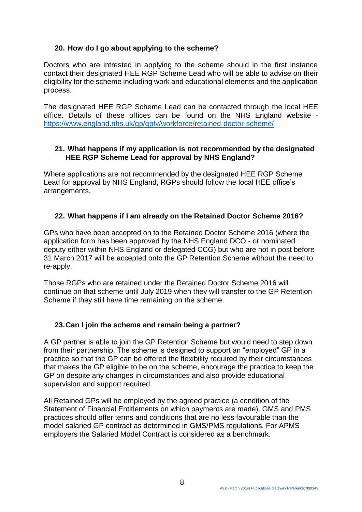# **20. How do I go about applying to the scheme?**

Doctors who are intrested in applying to the scheme should in the first instance contact their designated HEE RGP Scheme Lead who will be able to advise on their eligibility for the scheme including work and educational elements and the application process.

The designated HEE RGP Scheme Lead can be contacted through the local HEE office. Details of these offices can be found on the NHS England website <https://www.england.nhs.uk/gp/gpfv/workforce/retained-doctor-scheme/>

#### **21. What happens if my application is not recommended by the designated HEE RGP Scheme Lead for approval by NHS England?**

Where applications are not recommended by the designated HEE RGP Scheme Lead for approval by NHS England, RGPs should follow the local HEE office's arrangements.

# **22. What happens if I am already on the Retained Doctor Scheme 2016?**

GPs who have been accepted on to the Retained Doctor Scheme 2016 (where the application form has been approved by the NHS England DCO - or nominated deputy either within NHS England or delegated CCG) but who are not in post before 31 March 2017 will be accepted onto the GP Retention Scheme without the need to re-apply.

Those RGPs who are retained under the Retained Doctor Scheme 2016 will continue on that scheme until July 2019 when they will transfer to the GP Retention Scheme if they still have time remaining on the scheme.

# **23.Can I join the scheme and remain being a partner?**

A GP partner is able to join the GP Retention Scheme but would need to step down from their partnership. The scheme is designed to support an "employed" GP in a practice so that the GP can be offered the flexibility required by their circumstances that makes the GP eligible to be on the scheme, encourage the practice to keep the GP on despite any changes in circumstances and also provide educational supervision and support required.

All Retained GPs will be employed by the agreed practice (a condition of the Statement of Financial Entitlements on which payments are made). GMS and PMS practices should offer terms and conditions that are no less favourable than the model salaried GP contract as determined in GMS/PMS regulations. For APMS employers the Salaried Model Contract is considered as a benchmark.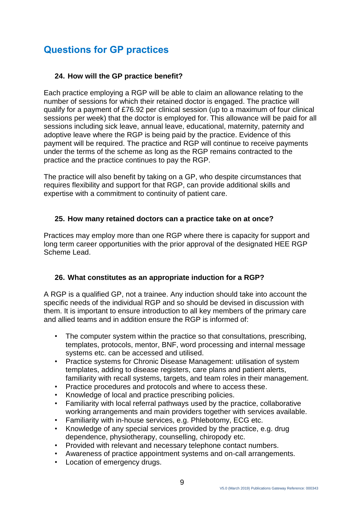# **Questions for GP practices**

#### **24. How will the GP practice benefit?**

Each practice employing a RGP will be able to claim an allowance relating to the number of sessions for which their retained doctor is engaged. The practice will qualify for a payment of £76.92 per clinical session (up to a maximum of four clinical sessions per week) that the doctor is employed for. This allowance will be paid for all sessions including sick leave, annual leave, educational, maternity, paternity and adoptive leave where the RGP is being paid by the practice. Evidence of this payment will be required. The practice and RGP will continue to receive payments under the terms of the scheme as long as the RGP remains contracted to the practice and the practice continues to pay the RGP.

The practice will also benefit by taking on a GP, who despite circumstances that requires flexibility and support for that RGP, can provide additional skills and expertise with a commitment to continuity of patient care.

#### **25. How many retained doctors can a practice take on at once?**

Practices may employ more than one RGP where there is capacity for support and long term career opportunities with the prior approval of the designated HEE RGP Scheme Lead.

# **26. What constitutes as an appropriate induction for a RGP?**

A RGP is a qualified GP, not a trainee. Any induction should take into account the specific needs of the individual RGP and so should be devised in discussion with them. It is important to ensure introduction to all key members of the primary care and allied teams and in addition ensure the RGP is informed of:

- The computer system within the practice so that consultations, prescribing, templates, protocols, mentor, BNF, word processing and internal message systems etc. can be accessed and utilised.
- Practice systems for Chronic Disease Management: utilisation of system templates, adding to disease registers, care plans and patient alerts, familiarity with recall systems, targets, and team roles in their management.
- Practice procedures and protocols and where to access these.
- Knowledge of local and practice prescribing policies.
- Familiarity with local referral pathways used by the practice, collaborative working arrangements and main providers together with services available.
- Familiarity with in-house services, e.g. Phlebotomy, ECG etc.
- Knowledge of any special services provided by the practice, e.g. drug dependence, physiotherapy, counselling, chiropody etc.
- Provided with relevant and necessary telephone contact numbers.
- Awareness of practice appointment systems and on-call arrangements.
- Location of emergency drugs.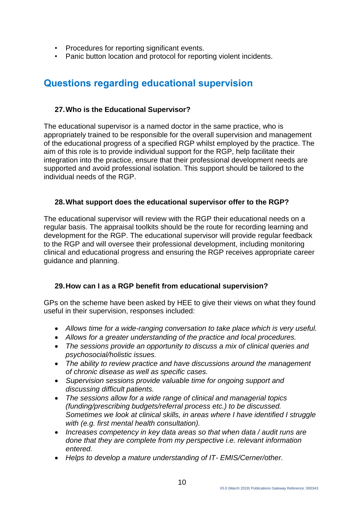- Procedures for reporting significant events.
- Panic button location and protocol for reporting violent incidents.

# **Questions regarding educational supervision**

#### **27.Who is the Educational Supervisor?**

The educational supervisor is a named doctor in the same practice, who is appropriately trained to be responsible for the overall supervision and management of the educational progress of a specified RGP whilst employed by the practice. The aim of this role is to provide individual support for the RGP, help facilitate their integration into the practice, ensure that their professional development needs are supported and avoid professional isolation. This support should be tailored to the individual needs of the RGP.

#### **28.What support does the educational supervisor offer to the RGP?**

The educational supervisor will review with the RGP their educational needs on a regular basis. The appraisal toolkits should be the route for recording learning and development for the RGP. The educational supervisor will provide regular feedback to the RGP and will oversee their professional development, including monitoring clinical and educational progress and ensuring the RGP receives appropriate career guidance and planning.

# **29.How can I as a RGP benefit from educational supervision?**

GPs on the scheme have been asked by HEE to give their views on what they found useful in their supervision, responses included:

- *Allows time for a wide-ranging conversation to take place which is very useful.*
- *Allows for a greater understanding of the practice and local procedures.*
- *The sessions provide an opportunity to discuss a mix of clinical queries and psychosocial/holistic issues.*
- *The ability to review practice and have discussions around the management of chronic disease as well as specific cases.*
- *Supervision sessions provide valuable time for ongoing support and discussing difficult patients.*
- *The sessions allow for a wide range of clinical and managerial topics (funding/prescribing budgets/referral process etc.) to be discussed. Sometimes we look at clinical skills, in areas where I have identified I struggle with (e.g. first mental health consultation).*
- *Increases competency in key data areas so that when data / audit runs are done that they are complete from my perspective i.e. relevant information entered.*
- *Helps to develop a mature understanding of IT- EMIS/Cerner/other.*